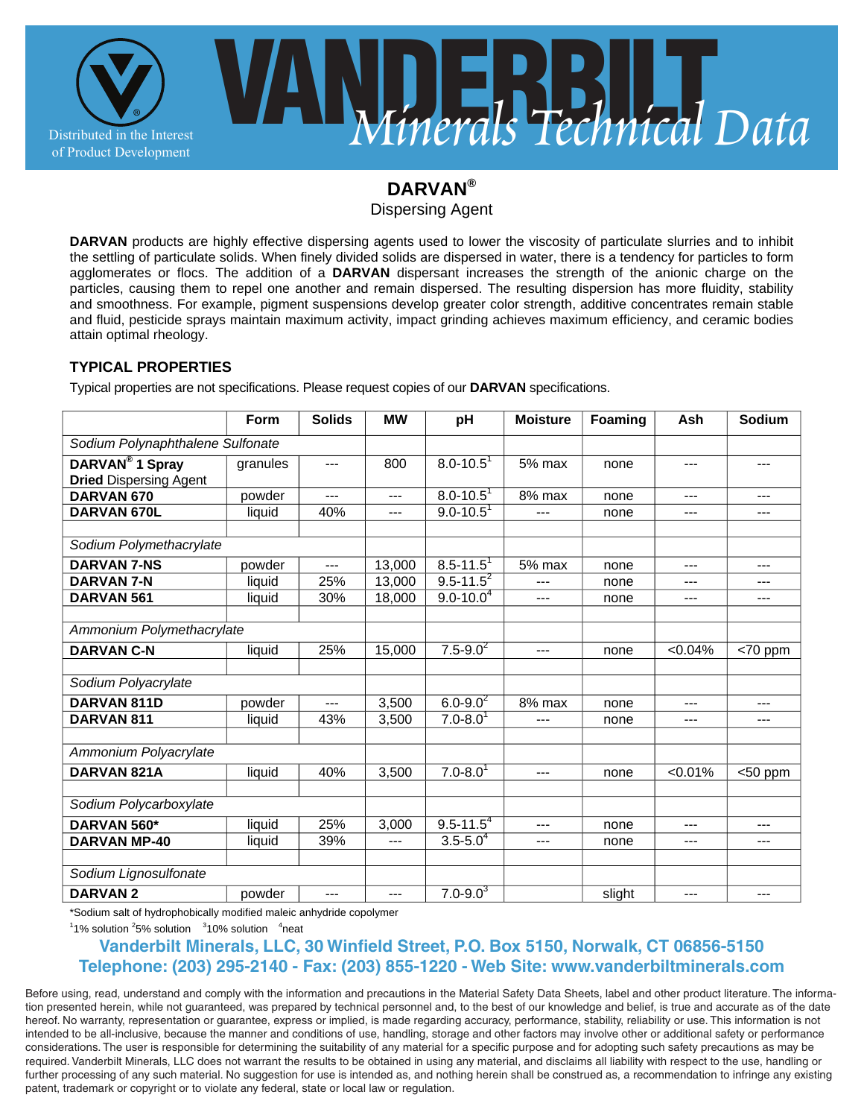

# **DARVAN®**

Dispersing Agent

**DARVAN** products are highly effective dispersing agents used to lower the viscosity of particulate slurries and to inhibit the settling of particulate solids. When finely divided solids are dispersed in water, there is a tendency for particles to form agglomerates or flocs. The addition of a **DARVAN** dispersant increases the strength of the anionic charge on the particles, causing them to repel one another and remain dispersed. The resulting dispersion has more fluidity, stability and smoothness. For example, pigment suspensions develop greater color strength, additive concentrates remain stable and fluid, pesticide sprays maintain maximum activity, impact grinding achieves maximum efficiency, and ceramic bodies attain optimal rheology.

### **TYPICAL PROPERTIES**

Typical properties are not specifications. Please request copies of our **DARVAN** specifications.

|                                                              | Form     | <b>Solids</b> | <b>MW</b> | pH                        | <b>Moisture</b> | Foaming | Ash        | Sodium     |
|--------------------------------------------------------------|----------|---------------|-----------|---------------------------|-----------------|---------|------------|------------|
| Sodium Polynaphthalene Sulfonate                             |          |               |           |                           |                 |         |            |            |
| DARVAN <sup>®</sup> 1 Spray<br><b>Dried Dispersing Agent</b> | granules | ---           | 800       | $8.0 - 10.5$ <sup>1</sup> | $5%$ max        | none    | $---$      | ---        |
| DARVAN 670                                                   | powder   | ---           | ---       | $8.0 - 10.5$ <sup>1</sup> | 8% max          | none    | $---$      |            |
| DARVAN 670L                                                  | liquid   | 40%           | $---$     | $9.0 - 10.5$              | $---$           | none    | $---$      | ---        |
|                                                              |          |               |           |                           |                 |         |            |            |
| Sodium Polymethacrylate                                      |          |               |           |                           |                 |         |            |            |
| <b>DARVAN 7-NS</b>                                           | powder   | $---$         | 13,000    | $8.5 - 11.5$ <sup>1</sup> | 5% max          | none    | $---$      | $---$      |
| <b>DARVAN 7-N</b>                                            | liquid   | 25%           | 13,000    | $9.5 - 11.5^2$            |                 | none    | $---$      | ---        |
| DARVAN 561                                                   | liquid   | 30%           | 18.000    | $9.0 - 10.0^{4}$          | $---$           | none    | $---$      | $---$      |
|                                                              |          |               |           |                           |                 |         |            |            |
| Ammonium Polymethacrylate                                    |          |               |           |                           |                 |         |            |            |
| <b>DARVAN C-N</b>                                            | liquid   | 25%           | 15,000    | $7.5 - 9.0^2$             | $---$           | none    | $< 0.04\%$ | <70 ppm    |
|                                                              |          |               |           |                           |                 |         |            |            |
| Sodium Polyacrylate                                          |          |               |           |                           |                 |         |            |            |
| DARVAN 811D                                                  | powder   | ---           | 3,500     | $6.0 - 9.0^2$             | 8% max          | none    | $---$      | $---$      |
| DARVAN <sub>811</sub>                                        | liquid   | 43%           | 3,500     | $7.0 - 8.0$ <sup>1</sup>  | ---             | none    | $---$      | $---$      |
|                                                              |          |               |           |                           |                 |         |            |            |
| Ammonium Polyacrylate                                        |          |               |           |                           |                 |         |            |            |
| DARVAN 821A                                                  | liquid   | 40%           | 3,500     | $7.0 - 8.0$ <sup>1</sup>  | $---$           | none    | < 0.01%    | $<$ 50 ppm |
|                                                              |          |               |           |                           |                 |         |            |            |
| Sodium Polycarboxylate                                       |          |               |           |                           |                 |         |            |            |
| DARVAN 560*                                                  | liquid   | 25%           | 3,000     | $9.5 - 11.54$             | $---$           | none    | $---$      | ---        |
| <b>DARVAN MP-40</b>                                          | liquid   | 39%           | ---       | $3.5 - 5.04$              | $---$           | none    | $---$      | ---        |
|                                                              |          |               |           |                           |                 |         |            |            |
| Sodium Lignosulfonate                                        |          |               |           |                           |                 |         |            |            |
| <b>DARVAN2</b>                                               | powder   | $---$         | $---$     | $7.0 - 9.0^3$             |                 | slight  | $---$      |            |

\*Sodium salt of hydrophobically modified maleic anhydride copolymer

 $11\%$  solution  $25\%$  solution  $310\%$  solution  $4$ neat

## Vanderbilt Minerals, LLC, 30 Winfield Street, P.O. Box 5150, Norwalk, CT 06856-5150 **Telephone: (203) 295-2140 - Fax: (203) 855-1220 - Web Site: www.vanderbiltminerals.com**

Before using, read, understand and comply with the information and precautions in the Material Safety Data Sheets, label and other product literature. The information presented herein, while not guaranteed, was prepared by technical personnel and, to the best of our knowledge and belief, is true and accurate as of the date hereof. No warranty, representation or guarantee, express or implied, is made regarding accuracy, performance, stability, reliability or use. This information is not intended to be all-inclusive, because the manner and conditions of use, handling, storage and other factors may involve other or additional safety or performance considerations. The user is responsible for determining the suitability of any material for a specific purpose and for adopting such safety precautions as may be required. Vanderbilt Minerals, LLC does not warrant the results to be obtained in using any material, and disclaims all liability with respect to the use, handling or further processing of any such material. No suggestion for use is intended as, and nothing herein shall be construed as, a recommendation to infringe any existing patent, trademark or copyright or to violate any federal, state or local law or regulation.